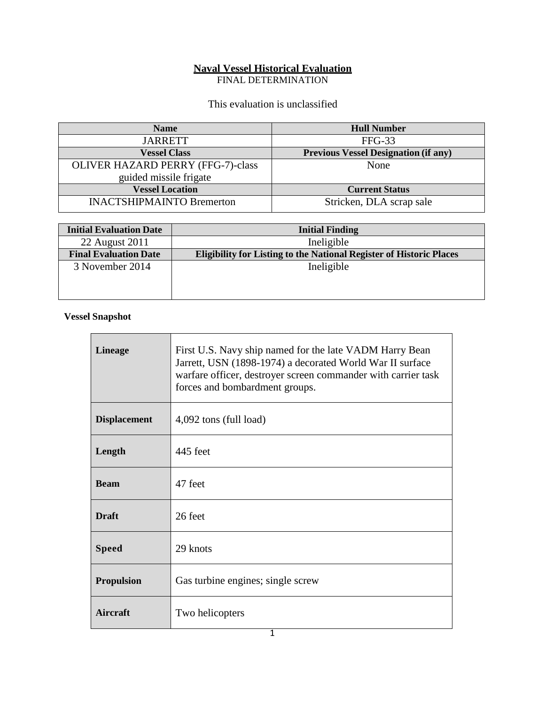### **Naval Vessel Historical Evaluation**

FINAL DETERMINATION

# This evaluation is unclassified

| <b>Name</b>                              | <b>Hull Number</b>                          |
|------------------------------------------|---------------------------------------------|
| <b>JARRETT</b>                           | $FFG-33$                                    |
| <b>Vessel Class</b>                      | <b>Previous Vessel Designation (if any)</b> |
| <b>OLIVER HAZARD PERRY (FFG-7)-class</b> | None                                        |
| guided missile frigate                   |                                             |
| <b>Vessel Location</b>                   | <b>Current Status</b>                       |
| <b>INACTSHIPMAINTO Bremerton</b>         | Stricken, DLA scrap sale                    |

| <b>Initial Evaluation Date</b> | <b>Initial Finding</b>                                                     |
|--------------------------------|----------------------------------------------------------------------------|
| 22 August 2011                 | Ineligible                                                                 |
| <b>Final Evaluation Date</b>   | <b>Eligibility for Listing to the National Register of Historic Places</b> |
| 3 November 2014                | Ineligible                                                                 |
|                                |                                                                            |
|                                |                                                                            |

## **Vessel Snapshot**

| <b>Lineage</b>      | First U.S. Navy ship named for the late VADM Harry Bean<br>Jarrett, USN (1898-1974) a decorated World War II surface<br>warfare officer, destroyer screen commander with carrier task<br>forces and bombardment groups. |
|---------------------|-------------------------------------------------------------------------------------------------------------------------------------------------------------------------------------------------------------------------|
| <b>Displacement</b> | 4,092 tons (full load)                                                                                                                                                                                                  |
| Length              | 445 feet                                                                                                                                                                                                                |
| <b>Beam</b>         | 47 feet                                                                                                                                                                                                                 |
| <b>Draft</b>        | 26 feet                                                                                                                                                                                                                 |
| <b>Speed</b>        | 29 knots                                                                                                                                                                                                                |
| <b>Propulsion</b>   | Gas turbine engines; single screw                                                                                                                                                                                       |
| Aircraft            | Two helicopters                                                                                                                                                                                                         |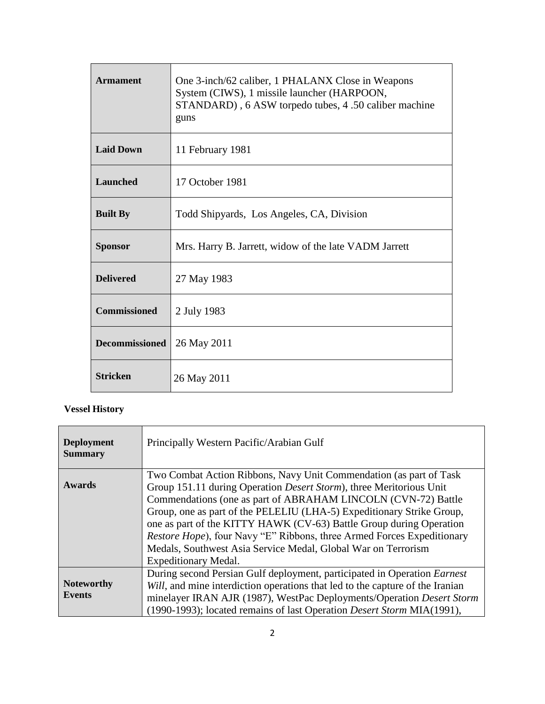| <b>Armament</b>       | One 3-inch/62 caliber, 1 PHALANX Close in Weapons<br>System (CIWS), 1 missile launcher (HARPOON,<br>STANDARD), 6 ASW torpedo tubes, 4 .50 caliber machine<br>guns |
|-----------------------|-------------------------------------------------------------------------------------------------------------------------------------------------------------------|
| <b>Laid Down</b>      | 11 February 1981                                                                                                                                                  |
| <b>Launched</b>       | 17 October 1981                                                                                                                                                   |
| <b>Built By</b>       | Todd Shipyards, Los Angeles, CA, Division                                                                                                                         |
| <b>Sponsor</b>        | Mrs. Harry B. Jarrett, widow of the late VADM Jarrett                                                                                                             |
| <b>Delivered</b>      | 27 May 1983                                                                                                                                                       |
| <b>Commissioned</b>   | 2 July 1983                                                                                                                                                       |
| <b>Decommissioned</b> | 26 May 2011                                                                                                                                                       |
| <b>Stricken</b>       | 26 May 2011                                                                                                                                                       |

# **Vessel History**

| <b>Deployment</b><br><b>Summary</b> | Principally Western Pacific/Arabian Gulf                                                                                                                                                                                                                                                                                                                                                                                                                                                                                              |
|-------------------------------------|---------------------------------------------------------------------------------------------------------------------------------------------------------------------------------------------------------------------------------------------------------------------------------------------------------------------------------------------------------------------------------------------------------------------------------------------------------------------------------------------------------------------------------------|
| <b>Awards</b>                       | Two Combat Action Ribbons, Navy Unit Commendation (as part of Task<br>Group 151.11 during Operation Desert Storm), three Meritorious Unit<br>Commendations (one as part of ABRAHAM LINCOLN (CVN-72) Battle<br>Group, one as part of the PELELIU (LHA-5) Expeditionary Strike Group,<br>one as part of the KITTY HAWK (CV-63) Battle Group during Operation<br><i>Restore Hope</i> ), four Navy "E" Ribbons, three Armed Forces Expeditionary<br>Medals, Southwest Asia Service Medal, Global War on Terrorism<br>Expeditionary Medal. |
| <b>Noteworthy</b><br><b>Events</b>  | During second Persian Gulf deployment, participated in Operation <i>Earnest</i><br>Will, and mine interdiction operations that led to the capture of the Iranian<br>minelayer IRAN AJR (1987), WestPac Deployments/Operation Desert Storm<br>(1990-1993); located remains of last Operation Desert Storm MIA(1991),                                                                                                                                                                                                                   |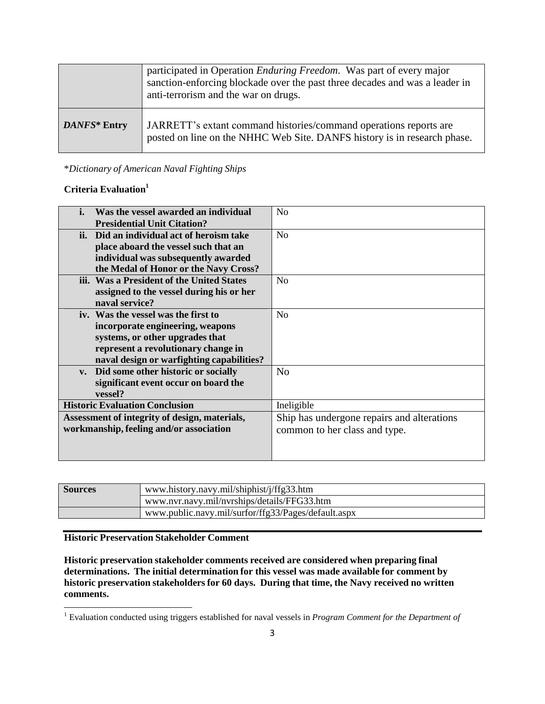|              | participated in Operation <i>Enduring Freedom</i> . Was part of every major<br>sanction-enforcing blockade over the past three decades and was a leader in<br>anti-terrorism and the war on drugs. |
|--------------|----------------------------------------------------------------------------------------------------------------------------------------------------------------------------------------------------|
| DANFS* Entry | JARRETT's extant command histories/command operations reports are<br>posted on line on the NHHC Web Site. DANFS history is in research phase.                                                      |

### \**Dictionary of American Naval Fighting Ships*

#### **Criteria Evaluation 1**

| <b>Presidential Unit Citation?</b><br>ii. Did an individual act of heroism take<br>N <sub>o</sub> |  |
|---------------------------------------------------------------------------------------------------|--|
|                                                                                                   |  |
|                                                                                                   |  |
| place aboard the vessel such that an                                                              |  |
| individual was subsequently awarded                                                               |  |
| the Medal of Honor or the Navy Cross?                                                             |  |
| iii. Was a President of the United States<br>N <sub>0</sub>                                       |  |
| assigned to the vessel during his or her                                                          |  |
| naval service?                                                                                    |  |
| iv. Was the vessel was the first to<br>N <sub>0</sub>                                             |  |
| incorporate engineering, weapons                                                                  |  |
| systems, or other upgrades that                                                                   |  |
| represent a revolutionary change in                                                               |  |
| naval design or warfighting capabilities?                                                         |  |
| v. Did some other historic or socially<br>N <sub>o</sub>                                          |  |
| significant event occur on board the                                                              |  |
| vessel?                                                                                           |  |
| <b>Historic Evaluation Conclusion</b><br>Ineligible                                               |  |
| Ship has undergone repairs and alterations<br>Assessment of integrity of design, materials,       |  |
| workmanship, feeling and/or association<br>common to her class and type.                          |  |
|                                                                                                   |  |
|                                                                                                   |  |

| <b>Sources</b> | www.history.navy.mil/shiphist/j/ffg33.htm           |  |
|----------------|-----------------------------------------------------|--|
|                | www.nvr.navy.mil/nvrships/details/FFG33.htm         |  |
|                | www.public.navy.mil/surfor/ffg33/Pages/default.aspx |  |

#### **Historic Preservation Stakeholder Comment**

**Historic preservation stakeholder comments received are considered when preparing final determinations. The initial determination for this vessel was made available for comment by historic preservation stakeholdersfor 60 days. During that time, the Navy received no written comments.**

<sup>1</sup> Evaluation conducted using triggers established for naval vessels in *Program Comment for the Department of*